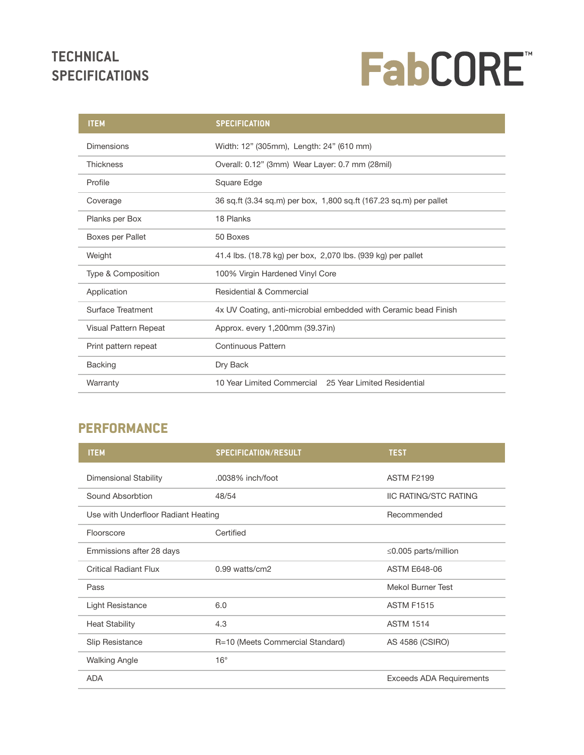## **TECHNICAL SPECIFICATIONS**

# FabCORE"

| <b>ITEM</b>              | <b>SPECIFICATION</b>                                               |  |  |
|--------------------------|--------------------------------------------------------------------|--|--|
| <b>Dimensions</b>        | Width: 12" (305mm), Length: 24" (610 mm)                           |  |  |
| <b>Thickness</b>         | Overall: 0.12" (3mm) Wear Layer: 0.7 mm (28mil)                    |  |  |
| Profile                  | Square Edge                                                        |  |  |
| Coverage                 | 36 sq.ft (3.34 sq.m) per box, 1,800 sq.ft (167.23 sq.m) per pallet |  |  |
| Planks per Box           | 18 Planks                                                          |  |  |
| Boxes per Pallet         | 50 Boxes                                                           |  |  |
| Weight                   | 41.4 lbs. (18.78 kg) per box, 2,070 lbs. (939 kg) per pallet       |  |  |
| Type & Composition       | 100% Virgin Hardened Vinyl Core                                    |  |  |
| Application              | Residential & Commercial                                           |  |  |
| <b>Surface Treatment</b> | 4x UV Coating, anti-microbial embedded with Ceramic bead Finish    |  |  |
| Visual Pattern Repeat    | Approx. every 1,200mm (39.37in)                                    |  |  |
| Print pattern repeat     | <b>Continuous Pattern</b>                                          |  |  |
| <b>Backing</b>           | Dry Back                                                           |  |  |
| Warranty                 | 10 Year Limited Commercial 25 Year Limited Residential             |  |  |

#### **PERFORMANCE**

| <b>ITEM</b>                         | <b>SPECIFICATION/RESULT</b>      | <b>TEST</b>                     |
|-------------------------------------|----------------------------------|---------------------------------|
| Dimensional Stability               | .0038% inch/foot                 | <b>ASTM F2199</b>               |
| Sound Absorbtion                    | 48/54                            | <b>IIC RATING/STC RATING</b>    |
| Use with Underfloor Radiant Heating |                                  | Recommended                     |
| Floorscore                          | Certified                        |                                 |
| Emmissions after 28 days            |                                  | $\leq$ 0.005 parts/million      |
| <b>Critical Radiant Flux</b>        | 0.99 watts/cm2                   | <b>ASTM E648-06</b>             |
| Pass                                |                                  | <b>Mekol Burner Test</b>        |
| Light Resistance                    | 6.0                              | <b>ASTM F1515</b>               |
| <b>Heat Stability</b>               | 4.3                              | <b>ASTM 1514</b>                |
| <b>Slip Resistance</b>              | R=10 (Meets Commercial Standard) | AS 4586 (CSIRO)                 |
| <b>Walking Angle</b>                | $16^{\circ}$                     |                                 |
| <b>ADA</b>                          |                                  | <b>Exceeds ADA Requirements</b> |